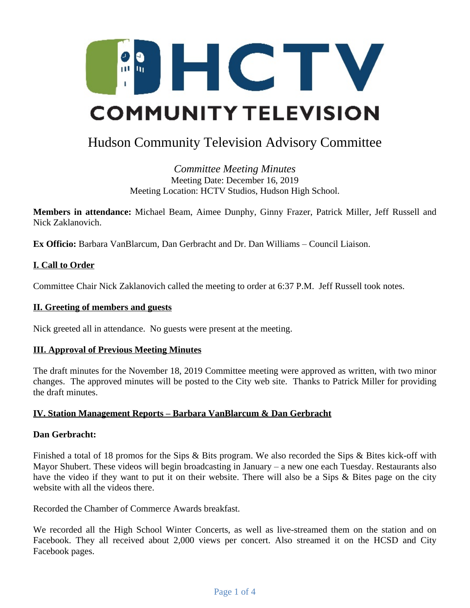

# Hudson Community Television Advisory Committee

*Committee Meeting Minutes* Meeting Date: December 16, 2019 Meeting Location: HCTV Studios, Hudson High School.

**Members in attendance:** Michael Beam, Aimee Dunphy, Ginny Frazer, Patrick Miller, Jeff Russell and Nick Zaklanovich.

**Ex Officio:** Barbara VanBlarcum, Dan Gerbracht and Dr. Dan Williams – Council Liaison.

## **I. Call to Order**

Committee Chair Nick Zaklanovich called the meeting to order at 6:37 P.M. Jeff Russell took notes.

#### **II. Greeting of members and guests**

Nick greeted all in attendance. No guests were present at the meeting.

#### **III. Approval of Previous Meeting Minutes**

The draft minutes for the November 18, 2019 Committee meeting were approved as written, with two minor changes. The approved minutes will be posted to the City web site. Thanks to Patrick Miller for providing the draft minutes.

#### **IV. Station Management Reports – Barbara VanBlarcum & Dan Gerbracht**

#### **Dan Gerbracht:**

Finished a total of 18 promos for the Sips & Bits program. We also recorded the Sips & Bites kick-off with Mayor Shubert. These videos will begin broadcasting in January – a new one each Tuesday. Restaurants also have the video if they want to put it on their website. There will also be a Sips & Bites page on the city website with all the videos there.

Recorded the Chamber of Commerce Awards breakfast.

We recorded all the High School Winter Concerts, as well as live-streamed them on the station and on Facebook. They all received about 2,000 views per concert. Also streamed it on the HCSD and City Facebook pages.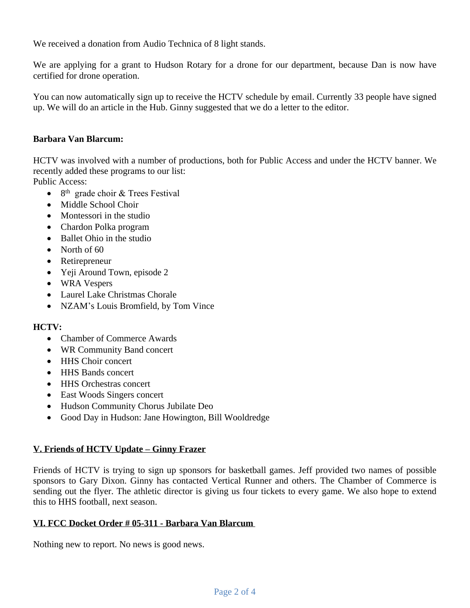We received a donation from Audio Technica of 8 light stands.

We are applying for a grant to Hudson Rotary for a drone for our department, because Dan is now have certified for drone operation.

You can now automatically sign up to receive the HCTV schedule by email. Currently 33 people have signed up. We will do an article in the Hub. Ginny suggested that we do a letter to the editor.

## **Barbara Van Blarcum:**

HCTV was involved with a number of productions, both for Public Access and under the HCTV banner. We recently added these programs to our list:

Public Access:

- $\bullet$  8<sup>th</sup> grade choir & Trees Festival
- Middle School Choir
- Montessori in the studio
- Chardon Polka program
- Ballet Ohio in the studio
- North of 60
- Retirepreneur
- Yeji Around Town, episode 2
- WRA Vespers
- Laurel Lake Christmas Chorale
- NZAM's Louis Bromfield, by Tom Vince

# **HCTV:**

- Chamber of Commerce Awards
- WR Community Band concert
- HHS Choir concert
- HHS Bands concert
- HHS Orchestras concert
- East Woods Singers concert
- Hudson Community Chorus Jubilate Deo
- Good Day in Hudson: Jane Howington, Bill Wooldredge

# **V. Friends of HCTV Update – Ginny Frazer**

Friends of HCTV is trying to sign up sponsors for basketball games. Jeff provided two names of possible sponsors to Gary Dixon. Ginny has contacted Vertical Runner and others. The Chamber of Commerce is sending out the flyer. The athletic director is giving us four tickets to every game. We also hope to extend this to HHS football, next season.

# **VI. FCC Docket Order # 05-311 - Barbara Van Blarcum**

Nothing new to report. No news is good news.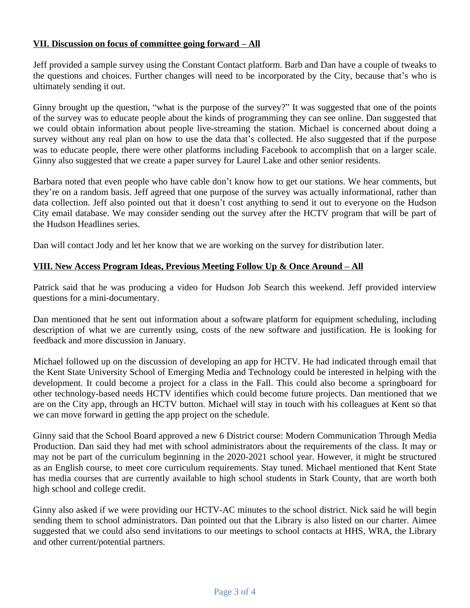## **VII. Discussion on focus of committee going forward – All**

Jeff provided a sample survey using the Constant Contact platform. Barb and Dan have a couple of tweaks to the questions and choices. Further changes will need to be incorporated by the City, because that's who is ultimately sending it out.

Ginny brought up the question, "what is the purpose of the survey?" It was suggested that one of the points of the survey was to educate people about the kinds of programming they can see online. Dan suggested that we could obtain information about people live-streaming the station. Michael is concerned about doing a survey without any real plan on how to use the data that's collected. He also suggested that if the purpose was to educate people, there were other platforms including Facebook to accomplish that on a larger scale. Ginny also suggested that we create a paper survey for Laurel Lake and other senior residents.

Barbara noted that even people who have cable don't know how to get our stations. We hear comments, but they're on a random basis. Jeff agreed that one purpose of the survey was actually informational, rather than data collection. Jeff also pointed out that it doesn't cost anything to send it out to everyone on the Hudson City email database. We may consider sending out the survey after the HCTV program that will be part of the Hudson Headlines series.

Dan will contact Jody and let her know that we are working on the survey for distribution later.

# **VIII. New Access Program Ideas, Previous Meeting Follow Up & Once Around – All**

Patrick said that he was producing a video for Hudson Job Search this weekend. Jeff provided interview questions for a mini-documentary.

Dan mentioned that he sent out information about a software platform for equipment scheduling, including description of what we are currently using, costs of the new software and justification. He is looking for feedback and more discussion in January.

Michael followed up on the discussion of developing an app for HCTV. He had indicated through email that the Kent State University School of Emerging Media and Technology could be interested in helping with the development. It could become a project for a class in the Fall. This could also become a springboard for other technology-based needs HCTV identifies which could become future projects. Dan mentioned that we are on the City app, through an HCTV button. Michael will stay in touch with his colleagues at Kent so that we can move forward in getting the app project on the schedule.

Ginny said that the School Board approved a new 6 District course: Modern Communication Through Media Production. Dan said they had met with school administrators about the requirements of the class. It may or may not be part of the curriculum beginning in the 2020-2021 school year. However, it might be structured as an English course, to meet core curriculum requirements. Stay tuned. Michael mentioned that Kent State has media courses that are currently available to high school students in Stark County, that are worth both high school and college credit.

Ginny also asked if we were providing our HCTV-AC minutes to the school district. Nick said he will begin sending them to school administrators. Dan pointed out that the Library is also listed on our charter. Aimee suggested that we could also send invitations to our meetings to school contacts at HHS, WRA, the Library and other current/potential partners.